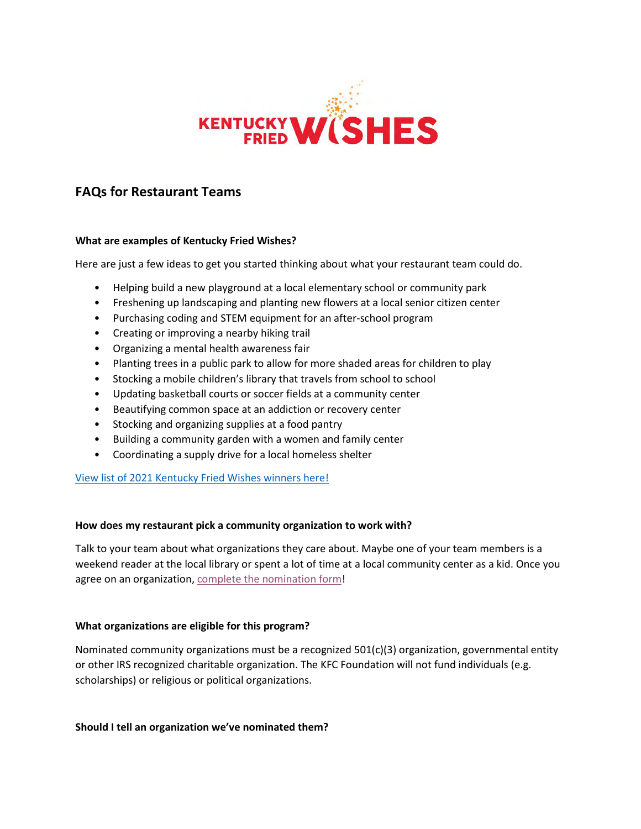

# **FAQs for Restaurant Teams**

## **What are examples of Kentucky Fried Wishes?**

Here are just a few ideas to get you started thinking about what your restaurant team could do.

- Helping build a new playground at a local elementary school or community park
- Freshening up landscaping and planting new flowers at a local senior citizen center
- Purchasing coding and STEM equipment for an after-school program
- Creating or improving a nearby hiking trail
- Organizing a mental health awareness fair
- Planting trees in a public park to allow for more shaded areas for children to play
- Stocking a mobile children's library that travels from school to school
- Updating basketball courts or soccer fields at a community center
- Beautifying common space at an addiction or recovery center
- Stocking and organizing supplies at a food pantry
- Building a community garden with a women and family center
- Coordinating a supply drive for a local homeless shelter

View list of 2021 [Kentucky Fried Wishes winners](https://kfcfoundation.org/6085/) here!

## **How does my restaurant pick a community organization to work with?**

Talk to your team about what organizations they care about. Maybe one of your team members is a weekend reader at the local library or spent a lot of time at a local community center as a kid. Once you agree on an organization, [complete the nomination form!](https://kfcfoundation.org/kfw/)

## **What organizations are eligible for this program?**

Nominated community organizations must be a recognized 501(c)(3) organization, governmental entity or other IRS recognized charitable organization. The KFC Foundation will not fund individuals (e.g. scholarships) or religious or political organizations.

**Should I tell an organization we've nominated them?**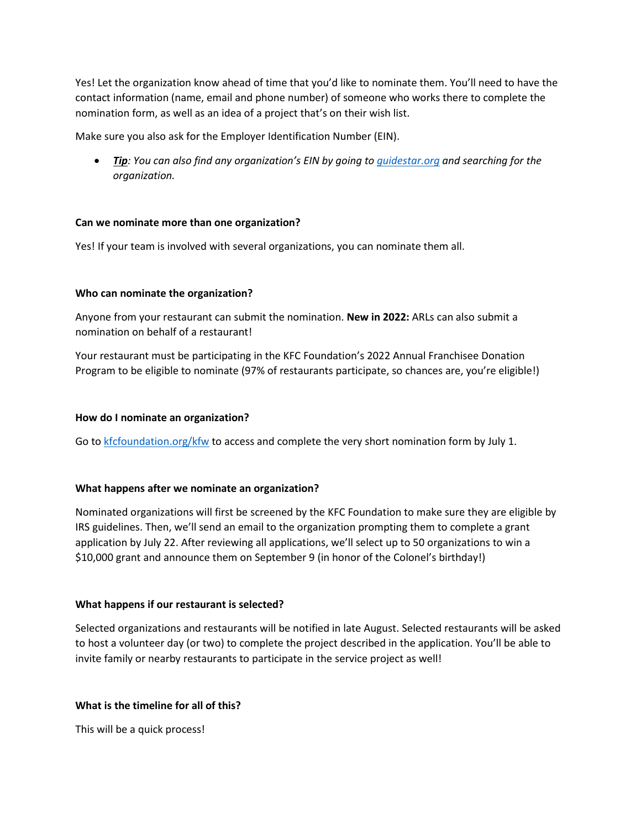Yes! Let the organization know ahead of time that you'd like to nominate them. You'll need to have the contact information (name, email and phone number) of someone who works there to complete the nomination form, as well as an idea of a project that's on their wish list.

Make sure you also ask for the Employer Identification Number (EIN).

• *Tip: You can also find any organization's EIN by going to [guidestar.org](http://www.guidestar.org/) and searching for the organization.*

## **Can we nominate more than one organization?**

Yes! If your team is involved with several organizations, you can nominate them all.

## **Who can nominate the organization?**

Anyone from your restaurant can submit the nomination. **New in 2022:** ARLs can also submit a nomination on behalf of a restaurant!

Your restaurant must be participating in the KFC Foundation's 2022 Annual Franchisee Donation Program to be eligible to nominate (97% of restaurants participate, so chances are, you're eligible!)

#### **How do I nominate an organization?**

Go to [kfcfoundation.org/kfw](http://www.kfcfoundation.org/kfw) to access and complete the very short nomination form by July 1.

#### **What happens after we nominate an organization?**

Nominated organizations will first be screened by the KFC Foundation to make sure they are eligible by IRS guidelines. Then, we'll send an email to the organization prompting them to complete a grant application by July 22. After reviewing all applications, we'll select up to 50 organizations to win a \$10,000 grant and announce them on September 9 (in honor of the Colonel's birthday!)

## **What happens if our restaurant is selected?**

Selected organizations and restaurants will be notified in late August. Selected restaurants will be asked to host a volunteer day (or two) to complete the project described in the application. You'll be able to invite family or nearby restaurants to participate in the service project as well!

## **What is the timeline for all of this?**

This will be a quick process!